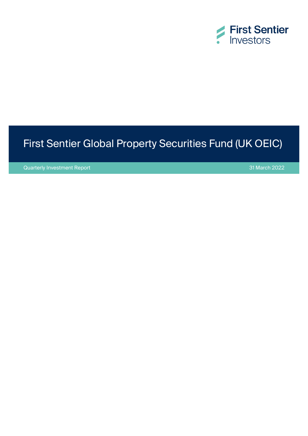

# First Sentier Global Property Securities Fund (UK OEIC)

Quarterly Investment Report 31 March 2022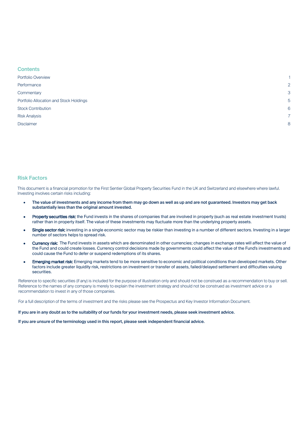| <b>Contents</b>                         |                |
|-----------------------------------------|----------------|
| Portfolio Overview                      |                |
| Performance                             | $\overline{2}$ |
| Commentary                              | 3              |
| Portfolio Allocation and Stock Holdings | 5              |
| <b>Stock Contribution</b>               | 6              |
| <b>Risk Analysis</b>                    | 7              |
| <b>Disclaimer</b>                       | 8              |
|                                         |                |

#### Risk Factors

This document is a financial promotion for the First Sentier Global Property Securities Fund in the UK and Switzerland and elsewhere where lawful. Investing involves certain risks including:

- The value of investments and any income from them may go down as well as up and are not guaranteed. Investors may get back substantially less than the original amount invested.
- Property securities risk: the Fund invests in the shares of companies that are involved in property (such as real estate investment trusts) rather than in property itself. The value of these investments may fluctuate more than the underlying property assets.
- Single sector risk: investing in a single economic sector may be riskier than investing in a number of different sectors. Investing in a larger number of sectors helps to spread risk.
- Currency risk: The Fund invests in assets which are denominated in other currencies; changes in exchange rates will affect the value of the Fund and could create losses. Currency control decisions made by governments could affect the value of the Fund's investments and could cause the Fund to defer or suspend redemptions of its shares.
- **Emerging market risk:** Emerging markets tend to be more sensitive to economic and political conditions than developed markets. Other factors include greater liquidity risk, restrictions on investment or transfer of assets, failed/delayed settlement and difficulties valuing securities.

Reference to specific securities (if any) is included for the purpose of illustration only and should not be construed as a recommendation to buy or sell. Reference to the names of any company is merely to explain the investment strategy and should not be construed as investment advice or a recommendation to invest in any of those companies.

For a full description of the terms of investment and the risks please see the Prospectus and Key Investor Information Document.

If you are in any doubt as to the suitability of our funds for your investment needs, please seek investment advice.

If you are unsure of the terminology used in this report, please seek independent financial advice.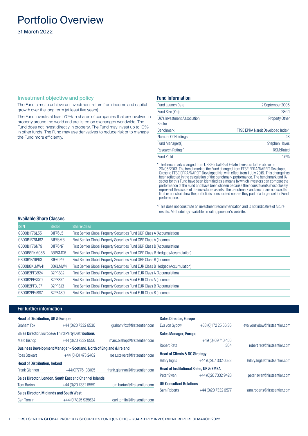# <span id="page-2-0"></span>Portfolio Overview

31 March 2022

#### Investment objective and policy

The Fund aims to achieve an investment return from income and capital growth over the long term (at least five years).

The Fund invests at least 70% in shares of companies that are involved in property around the world and are listed on exchanges worldwide. The Fund does not invest directly in property. The Fund may invest up to 10% in other funds. The Fund may use derivatives to reduce risk or to manage the Fund more efficiently.

#### Fund Information

| <b>Fund Launch Date</b>               | 12 September 2006                 |
|---------------------------------------|-----------------------------------|
| Fund Size (£m)                        | 286.1                             |
| UK's Investment Association<br>Sector | <b>Property Other</b>             |
| <b>Benchmark</b>                      | FTSE EPRA Nareit Developed Index* |
| Number Of Holdings                    | 43                                |
| Fund Manager(s)                       | <b>Stephen Hayes</b>              |
| Research Rating ^                     | <b>RSM:Rated</b>                  |
| <b>Fund Yield</b>                     | 1.6%                              |

\* The benchmark changed from UBS Global Real Estate Investors to the above on 20/05/2013. The benchmark of the Fund changed from FTSE EPRA/NAREIT Developed Gross to FTSE EPRA/NAREIT Developed Net with effect from 1 July 2016. This change has been reflected in the calculation of the benchmark performance. The benchmark and IA sector for this Fund have been identified as a means by which investors can compare the performance of the Fund and have been chosen because their constituents most closely represent the scope of the investable assets. The benchmark and sector are not used to limit or constrain how the portfolio is constructed nor are they part of a target set for Fund performance.

^This does not constitute an investment recommendation and is not indicative of future results. Methodology available on rating provider's website.

|  |  |  | Available Share Classes |
|--|--|--|-------------------------|
|--|--|--|-------------------------|

| <b>ISIN</b>  | <b>Sedol</b>                                  | <b>Share Class</b>                                                              |
|--------------|-----------------------------------------------|---------------------------------------------------------------------------------|
| GB00B1F76L55 | <b>B1F76L5</b>                                | First Sentier Global Property Securities Fund GBP Class A (Accumulation)        |
| GB00B1F76M62 | B1F76M6                                       | First Sentier Global Property Securities Fund GBP Class A (Income)              |
| GB00B1F76N79 | <b>B1F76N7</b>                                | First Sentier Global Property Securities Fund GBP Class B (Accumulation)        |
| GB00B8PKMC66 | B8PKMC6                                       | First Sentier Global Property Securities Fund GBP Class B Hedged (Accumulation) |
| GB00B1F76P93 | <b>B1F76P9</b>                                | First Sentier Global Property Securities Fund GBP Class B (Income)              |
| GB00B8KLMW41 | B8KLMW4                                       | First Sentier Global Property Securities Fund EUR Class B Hedged (Accumulation) |
| GB00B2PF3824 | <b>B2PF382</b>                                | First Sentier Global Property Securities Fund EUR Class A (Accumulation)        |
| GB00B2PF3X70 | B <sub>2</sub> PF3X7                          | First Sentier Global Property Securities Fund EUR Class A (Income)              |
| GB00B2PF3J37 | B <sub>2</sub> PF <sub>3</sub> J <sub>3</sub> | First Sentier Global Property Securities Fund EUR Class B (Accumulation)        |
| GB00B2PF4897 | B2PF489                                       | First Sentier Global Property Securities Fund EUR Class B (Income)              |

#### For further information

| <b>Head of Distribution, UK &amp; Europe</b>   |                                                                     |                                | <b>Sales Director, Europe</b>            |                                                   |                                |
|------------------------------------------------|---------------------------------------------------------------------|--------------------------------|------------------------------------------|---------------------------------------------------|--------------------------------|
| <b>Graham Fox</b>                              | +44 (0) 20 7332 6530                                                | graham.fox@firstsentier.com    | Eva von Sydow                            | +33 (0) 172 25 66 36                              | eva.vonsydow@firstsentier.com  |
|                                                | <b>Sales Director, Europe &amp; Third Party Distributions</b>       |                                | <b>Sales Manager, Europe</b>             |                                                   |                                |
| Marc Bishop                                    | +44 (0) 20 7332 6556                                                | marc.bishop@firstsentier.com   |                                          | +49 (0) 69 710 456                                |                                |
|                                                | Business Development Manager - Scotland, North of England & Ireland |                                | <b>Robert Retz</b>                       | 304                                               | robert.retz@firstsentier.com   |
| <b>Ross Stewart</b>                            | +44 (0)131 473 2482                                                 | ross.stewart@firstsentier.com  | <b>Head of Clients &amp; DC Strategy</b> |                                                   |                                |
| <b>Head of Distribution, Ireland</b>           |                                                                     |                                | Hilary Inglis                            | +44 (0) 207 332 6533                              | Hilary.Inglis@firstsentier.com |
| <b>Frank Glennon</b>                           | +44(0)7776 138105                                                   | frank.glennon@firstsentier.com |                                          | <b>Head of Institutional Sales, UK &amp; EMEA</b> |                                |
|                                                | Sales Director, London, South East and Channel Islands              |                                | Peter Swan                               | +44 (0) 20 7332 9428                              | peter.swan@firstsentier.com    |
| <b>Tom Burton</b>                              | +44 (0) 20 7332 6559                                                | tom.burton@firstsentier.com    | <b>UK Consultant Relations</b>           |                                                   |                                |
| <b>Sales Director, Midlands and South West</b> |                                                                     |                                | Sam Roberts                              | +44 (0) 20 7332 6577                              | sam.roberts@firstsentier.com   |
| Carl Tomlin                                    | +44 (0) 7825 935634                                                 | carl.tomlin@firstsentier.com   |                                          |                                                   |                                |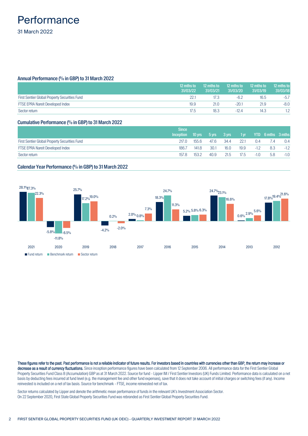### <span id="page-3-0"></span>**Performance** 31 March 2022

#### Annual Performance (% in GBP) to 31 March 2022

|                                               | 12 mths to<br>31/03/22 | 12 mths to<br>31/03/21 | 12 mths to<br>31/03/20 | 12 mths to<br>31/03/19 | 12 mths to<br>31/03/18 |
|-----------------------------------------------|------------------------|------------------------|------------------------|------------------------|------------------------|
| First Sentier Global Property Securities Fund | 22.1                   | 17.3                   | -6.2                   | 16.5                   | $-5.7$                 |
| <b>FTSE EPRA Nareit Developed Index</b>       | 19.9                   | 21.0                   | $-20.1$                | 21.9                   | $-8.0$                 |
| Sector return                                 | 17.5                   | 18.3                   | $-12.4$                | 14.3                   |                        |

#### Cumulative Performance (% in GBP) to 31 March 2022

|                                               | Since            |                              |      |      |      |        |                                     |        |
|-----------------------------------------------|------------------|------------------------------|------|------|------|--------|-------------------------------------|--------|
|                                               | <b>Inception</b> | $10 \text{ yrs}$ 5 yrs 3 yrs |      |      | 1yr  |        | <b>The Strip Server Strip Smths</b> |        |
| First Sentier Global Property Securities Fund | 217.0            | 155.6                        | 47.6 | 34.4 | 22.1 | 0.4    | $\sqrt{4}$                          | 0.4    |
| <b>FTSE EPRA Nareit Developed Index</b>       | 186.7            | 141.8                        | 30.1 | 16.0 | 19.9 | $-1.2$ | 8.3                                 | $-1.2$ |
| Sector return                                 | 157.8            | 153.2                        | 40.9 | 21.5 | 17.5 | $-1.0$ | 5.8                                 | $-1.0$ |

#### Calendar Year Performance (% in GBP) to 31 March 2022



These figures refer to the past. Past performance is not a reliable indicator of future results. For investors based in countries with currencies other than GBP, the return may increase or decrease as a result of currency fluctuations. Since inception performance figures have been calculated from 12 September 2006. All performance data for the First Sentier Global Property Securities Fund Class B (Accumulation) GBP as at 31 March 2022. Source for fund - Lipper IM / First Sentier Investors (UK) Funds Limited. Performance data is calculated on a net basis by deducting fees incurred at fund level (e.g. the management fee and other fund expenses), save that it does not take account of initial charges or switching fees (if any). Income reinvested is included on a net of tax basis. Source for benchmark - FTSE, income reinvested net of tax.

Sector returns calculated by Lipper and denote the arithmetic mean performance of funds in the relevant UK's Investment Association Sector. On 22 September 2020, First State Global Property Securities Fund was rebranded as First Sentier Global Property Securities Fund.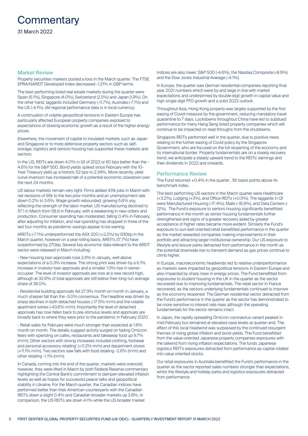# <span id="page-4-0"></span>**Commentary**

#### Market Review

Property securities markets posted a loss in the March quarter. The FTSE EPRA/NAREIT Developed Index decreased -1.21% in GBP terms.

The best performing listed real estate markets during the quarter were Spain (5.1%), Singapore (4.0%), Switzerland (2.5%) and Japan (1.9%). On the other hand, laggards included Germany (-11.7%), Australia (-7.1%) and the US (-4.1%). (All regional performance data is in local currency).

A continuation of volatile geopolitical tensions in Eastern Europe has particularly affected European property companies exposed to expectations of slowing economic growth as a result of the higher energy prices.

Elsewhere, the movement of capital to insulated markets such as Japan and Singapore or to more defensive property sectors such as selfstorage, logistics and seniors housing has supported these markets and sectors.

In the US, REITs are down 4.0% in Q1 of 2022 or 60 bps better than the - 4.6% for the S&P 500. Bond yields spiked since February with the 10- Year Treasury yield up a historic 52 bps to 2.34%. More recently, yield curve inversion has increased talk of a potential economic slowdown over the next 24 months.

US labour markets remain very tight. Firms added 431k jobs in March with net revisions of 95k to the two prior months and an unemployment rate down 0.2% to 3.6%. Wage growth rebounded, growing 5.6% yoy, reflecting the strength of the labor market. US manufacturing declined to 57.1 in March from 58.6 in February, with a weakening in new orders and production. Consumer spending has moderated, falling 0.4% in February, after adjusting for inflation, and real spending has dropped in three of the last four months as pandemic savings appear to be waning.

AREITs (-7.1%) underperformed the ASX 200 (+2.2%) by 930bp in the March quarter, however on a year rolling basis, AREITs (17.7%) have outperformed by 270bp. Several key economic data relevant to the AREIT sector were released in March including:

- New housing loan approvals rose 2.6% in January, well above expectations of a 0.3% increase. The strong print was driven by a 6.1% increase in investor loan approvals and a smaller 1.0% rise in owneroccupier. The level of investor approvals are now at a new record high, although at 32.6% of total approvals are still below their long-run average share of 36.0%.

- Residential building approvals fell 27.9% month on month in January, a much sharper fall than the -3.0% consensus. The headline was driven by sharp declines in both detached houses (-17.5% m/m) and the volatile apartment series (-43.6% m/m). Importantly the level of detached approvals has now fallen back to pre-stimulus levels and approvals are broadly back to where they were prior to the pandemic in February 2020.

- Retail sales for February were much stronger than expected at 1.8% month on month. The details suggest activity surged on fading Omicron fears with spending on cafes, restaurants and takeaway food up 9.7% (m/m). Other sectors with strong increases included clothing, footwear and personal accessory retailing' (+11.2% m/m) and department stores (+11.1% m/m). Two sectors saw falls with food retailing -2.6% (m/m) and other retailing -1.1% (m/m).

In Canada, coming into the end of the quarter, markets were oversold; however, they were lifted in March by both Federal Reserve commentary highlighting the Central Bank's commitment to dampen elevated inflation levels as well as hopes for successful peace talks and geopolitical stability in Ukraine. For the March quarter, the Canadian indices have performed better than their American counterparts with the Canadian REITs down a slight 0.4% and Canadian broader markets up 3.8%. In comparison, the US REITs are down 4.1% while the US broader market

indices are also lower: S&P 500 (-4.6%), the Nasdaq Composite (-8.9%) and the Dow Jones Industrial Average (-4.1%).

In Europe, the quarter saw German residential companies reporting final year 2021 numbers which were by and large in line with market expectations and underpinned by double digit growth in capital value and high single digit FFO growth and a solid 2022 outlook.

Throughout Asia, Hong Kong property was largely supported by the first easing of Covid-measure by the government, reducing mandatory travel quarantine to 7 days. Lockdowns throughout China have led to subdued performance for many Hang Seng listed property companies which will continue to be impacted on read throughs from the shutdowns.

Singapore REITs performed well in the quarter, due to positive news relating to the further easing of Covid policy by the Singapore Government, who are focused on the full reopening of the economy and its international border. Property fundamentals are on a steady recovery trend, we anticipate a steady upward trend to the REITs' earnings and their dividends in 2022 and onwards.

#### Performance Review

The Fund returned +0.4% in the quarter , 161 basis points above its benchmark index.

The best performing US sectors in the March quarter were Healthcare (+3.2%), Lodging (+3%), and Office REITs (+0.5%). The laggards in Q1 were Manufactured Housing (-17.4%), Malls (-16.9%), and Data Centers (- 12%). The Fund's exposure to seniors housing significantly benefitted performance in the month as senior housing fundamentals further strengthened and signs of a greater recovery aided by greater acceptance of higher rates became more evident. Similarly the Fund's exposure to sun-belt oriented retail benefitted performance in the quarter as the market rewarded companies making improvements in their portfolio and attracting larger institutional ownership. Our US exposure to lifestyle and leisure parks detracted from performance in the month as the potential downside risk to transient demand as gas prices continue to climb higher.

In Europe, macroeconomic headwinds led to relative underperformance as markets were impacted by geopolitical tensions in Eastern Europe and also impacted by sharp rises in energy prices. The Fund benefitted from exposures to student housing in the UK in the quarter as the sector recovered due to improving fundamentals. The retail sector in France recovered, as the sectors underlying fundamentals continued to improve as the economy reopened. The German residential sector detracted from the Fund's performance in the quarter as the sector has demonstrated to be more sensitive to interest rate rises although the operating fundamentals for the sector remains intact.

In Japan, the rapidly spreading Omicron coronavirus variant peaked in mid-February but remained at elevated case levels at quarter-end. The effect of this local headwind was surpassed by the continued resurgent themes of rising global inflation and bond yields. The Fund benefitted from the value-oriented Japanese property companies exposures with the tailwind from rising inflation expectations. The funds Japanese logistics REIT's exposures detracted from performance as capital rotated into value oriented stocks.

Our retail exposures in Australia benefitted the Fund's performance in the quarter as the sector reported sales numbers stronger than expectations, whilst the lifestyle and holiday parks and logistics exposures detracted from performance.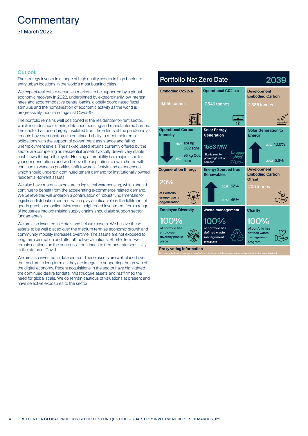# **Commentary**

#### 31 March 2022

#### **Outlook**

The strategy invests in a range of high quality assets in high barrier to entry urban locations in the world's most bustling cities.

We expect real estate securities markets to be supported by a global economic recovery in 2022, underpinned by extraordinarily low interest rates and accommodative central banks, globally coordinated fiscal stimulus and the normalisation of economic activity as the world is progressively inoculated against Covid-19.

The portfolio remains well positioned in the residential-for-rent sector, which includes apartments, detached housing and manufactured homes. The sector has been largely insulated from the effects of the pandemic as tenants have demonstrated a continued ability to meet their rental obligations with the support of government assistance and falling unemployment levels. The risk-adjusted returns currently offered by the sector are compelling as residential assets typically deliver very stable cash flows through the cycle. Housing affordability is a major issue for younger generations and we believe the aspiration to own a home will continue to wane as priorities shift towards lifestyle and experiences, which should underpin continued tenant demand for institutionally owned residential-for-rent assets.

We also have material exposure to logistical warehousing, which should continue to benefit from the accelerating e-commerce related demand. We believe this will underpin a continuation of robust fundamentals for logistical distribution centres, which play a critical role in the fulfilment of goods purchased online. Moreover, heightened investment from a range of industries into optimising supply chains should also support sector fundamentals.

We are also invested in Hotels and Leisure assets. We believe these assets to be well placed over the medium term as economic growth and community mobility increases overtime. The assets are not exposed to long term disruption and offer attractive valuations. Shorter term, we remain cautious on the sector as it continues to demonstrate sensitivity to the status of Covid.

We are also invested in datacentres. These assets are well placed over the medium to long term as they are integral to supporting the growth of the digital economy. Recent acquisitions in the sector have highlighted the continued desire for data infrastructure assets and reaffirmed the need for global scale. We do remain cautious of valuations at present and have selective exposures to the sector.

#### **Portfolio Net Zero Date** 2039 Operational CO<sub>2</sub> p.a. Embodied Co<sub>2</sub> n a **Development Embodied Carbon** 9.956 tonnes 7.546 tonnes 2,386 tonnes  $\overline{w}$ **Operational Carbon** Solar Energy **Solar Generation to Intensity** Generation Eneray 2022 124 kg 2027 10.0% 1583 MW C<sub>02</sub> sqm "Equivalent to 95 kg Co<sub>2</sub> powering 1 million<br>homes" 2022 5.6% sam **Development Cogeneration Energy Energy Sourced from Renewables Embodied Carbon Offset**  $20%$ 027 52% 205 tonnes of Portfolio energy use is 2022 45% cogeneration **Employee Diversity** Waste management **Charity** 100% 100% 100% of portfolio has of portfolio has of portfolio has defined waste defined waste diversity plan i management management place program program **Proxy voting information**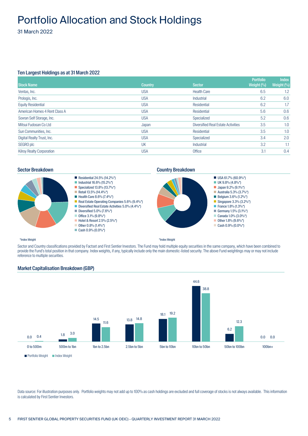# <span id="page-6-0"></span>Portfolio Allocation and Stock Holdings

31 March 2022

#### Ten Largest Holdings as at 31 March 2022

| <b>Stock Name</b>                | <b>Country</b> | <b>Sector</b>                             | <b>Portfolio</b><br>Weight $(%$ | <b>Index</b><br>Weight $(%$ |
|----------------------------------|----------------|-------------------------------------------|---------------------------------|-----------------------------|
| Ventas, Inc.                     | <b>USA</b>     | <b>Health Care</b>                        | 6.5                             | 1.2                         |
|                                  |                |                                           |                                 |                             |
| Prologis, Inc.                   | <b>USA</b>     | Industrial                                | 6.2                             | 6.0                         |
| <b>Equity Residential</b>        | <b>USA</b>     | Residential                               | 6.2                             | 1.7                         |
| American Homes 4 Rent Class A    | <b>USA</b>     | Residential                               | 5.6                             | 0.6                         |
| Sovran Self Storage, Inc.        | <b>USA</b>     | Specialized                               | 5.2                             | 0.6                         |
| Mitsui Fudosan Co Ltd            | Japan          | <b>Diversified Real Estate Activities</b> | 3.5                             | 1.0                         |
| Sun Communities, Inc.            | <b>USA</b>     | Residential                               | 3.5                             | 1.0                         |
| Digital Realty Trust, Inc.       | <b>USA</b>     | Specialized                               | 3.4                             | 2.0                         |
| SEGRO plc                        | UK             | Industrial                                | 3.2                             | 1.1                         |
| <b>Kilroy Realty Corporation</b> | <b>USA</b>     | Office                                    | 3.1                             | 0.4                         |

#### Sector Breakdown **Country Breakdown Country Breakdown**





Sector and Country classifications provided by Factset and First Sentier Investors. The Fund may hold multiple equity securities in the same company, which have been combined to provide the Fund's total position in that company. Index weights, if any, typically include only the main domestic-listed security. The above Fund weightings may or may not include reference to multiple securities.

\*Index Weight



#### Market Capitalisation Breakdown (GBP)

Data source: For illustration purposes only. Portfolio weights may not add up to 100% as cash holdings are excluded and full coverage of stocks is not always available. This information is calculated by First Sentier Investors.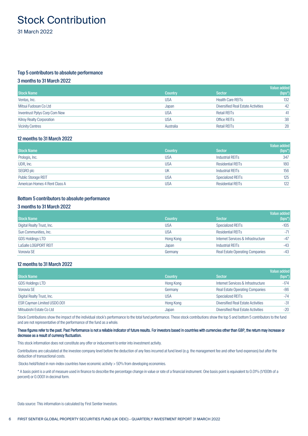# <span id="page-7-0"></span>Stock Contribution

31 March 2022

#### Top 5 contributors to absolute performance

#### 3 months to 31 March 2022

| <b>Stock Name</b>                | <b>Country</b> | <b>Sector</b>                             | Value added<br>$(bps^*)$ |
|----------------------------------|----------------|-------------------------------------------|--------------------------|
| Ventas, Inc.                     | <b>USA</b>     | <b>Health Care REITs</b>                  | 132                      |
| Mitsui Fudosan Co Ltd            | Japan          | <b>Diversified Real Estate Activities</b> | 42                       |
| Inventrust Pptys Corp Com New    | <b>USA</b>     | <b>Retail REITs</b>                       | 41                       |
| <b>Kilroy Realty Corporation</b> | USA            | Office REIT <sub>S</sub>                  | 38                       |
| <b>Vicinity Centres</b>          | Australia      | <b>Retail REITs</b>                       | 28                       |

#### 12 months to 31 March 2022

|                               |                |                          | <b>Value added</b> |
|-------------------------------|----------------|--------------------------|--------------------|
| <b>Stock Name</b>             | <b>Country</b> | <b>Sector</b>            | $(bps^*)$          |
| Prologis, Inc.                | USA            | Industrial REITs         | 347                |
| UDR, Inc.                     | <b>USA</b>     | <b>Residential REITs</b> | 180                |
| SEGRO plc                     | UK             | Industrial REITs         | 156                |
| <b>Public Storage REIT</b>    | <b>USA</b>     | Specialized REITs        | 125                |
| American Homes 4 Rent Class A | <b>USA</b>     | <b>Residential REITs</b> | 122                |

#### Bottom 5 contributors to absolute performance

#### 3 months to 31 March 2022

|                            |                |                                        | Value added |
|----------------------------|----------------|----------------------------------------|-------------|
| <b>Stock Name</b>          | <b>Country</b> | <b>Sector</b>                          | $(bps^*)$   |
| Digital Realty Trust, Inc. | <b>USA</b>     | <b>Specialized REITs</b>               | $-105$      |
| Sun Communities, Inc.      | <b>USA</b>     | <b>Residential REITs</b>               | $-71$       |
| <b>GDS Holdings LTD</b>    | Hong Kong      | Internet Services & Infrastructure     | $-47$       |
| LaSalle LOGIPORT REIT      | Japan          | <b>Industrial REITs</b>                | -43         |
| Vonovia SE                 | Germany        | <b>Real Estate Operating Companies</b> | $-43$       |

#### 12 months to 31 March 2022

| <b>Stock Name</b>           | <b>Country</b> | <b>Sector</b>                             | Value added<br>$(bps^*)$ |
|-----------------------------|----------------|-------------------------------------------|--------------------------|
| <b>GDS Holdings LTD</b>     | Hong Kong      | Internet Services & Infrastructure        | $-174$                   |
| Vonovia SE                  | Germany        | <b>Real Estate Operating Companies</b>    | $-86$                    |
| Digital Realty Trust, Inc.  | <b>USA</b>     | Specialized REITs                         | -74                      |
| ESR Cayman Limited USD0.001 | Hong Kong      | <b>Diversified Real Estate Activities</b> | -31                      |
| Mitsubishi Estate Co Ltd    | Japan          | <b>Diversified Real Estate Activities</b> | $-20$                    |

Stock Contributions show the impact of the individual stock's performance to the total fund performance. These stock contributions show the top 5 and bottom 5 contributors to the fund and are not representative of the performance of the fund as a whole.

#### These figures refer to the past. Past Performance is not a reliable indicator of future results. For investors based in countries with currencies other than GBP, the return may increase or decrease as a result of currency fluctuation.

This stock information does not constitute any offer or inducement to enter into investment activity.

Contributions are calculated at the investee company level before the deduction of any fees incurred at fund level (e.g. the management fee and other fund expenses) but after the deduction of transactional costs.

Stocks held/listed in non-index countries have economic activity > 50% from developing economies.

\* A basis point is a unit of measure used in finance to describe the percentage change in value or rate of a financial instrument. One basis point is equivalent to 0.01% (1/100th of a percent) or 0.0001 in decimal form.

Data source: This information is calculated by First Sentier Investors.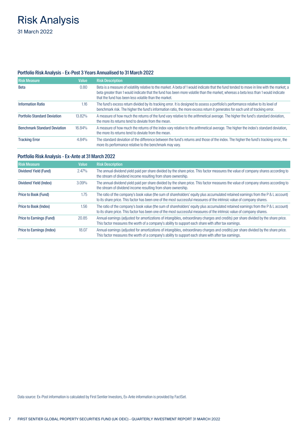# <span id="page-8-0"></span>Risk Analysis

31 March 2022

### Portfolio Risk Analysis - Ex-Post 3 Years Annualised to 31 March 2022

| <b>Risk Measure</b>                 | Value  | <b>Risk Description</b>                                                                                                                                                                                                                                                                                                                   |
|-------------------------------------|--------|-------------------------------------------------------------------------------------------------------------------------------------------------------------------------------------------------------------------------------------------------------------------------------------------------------------------------------------------|
| Beta                                | 0.80   | Beta is a measure of volatility relative to the market. A beta of 1 would indicate that the fund tended to move in line with the market; a<br>beta greater than 1 would indicate that the fund has been more volatile than the market; whereas a beta less than 1 would indicate<br>that the fund has been less volatile than the market. |
| <b>Information Ratio</b>            | 1.16   | The fund's excess return divided by its tracking error. It is designed to assess a portfolio's performance relative to its level of<br>benchmark risk. The higher the fund's information ratio, the more excess return it generates for each unit of tracking error.                                                                      |
| <b>Portfolio Standard Deviation</b> | 13.82% | A measure of how much the returns of the fund vary relative to the arithmetical average. The higher the fund's standard deviation,<br>the more its returns tend to deviate from the mean.                                                                                                                                                 |
| <b>Benchmark Standard Deviation</b> | 16.84% | A measure of how much the returns of the index vary relative to the arithmetical average. The higher the index's standard deviation,<br>the more its returns tend to deviate from the mean.                                                                                                                                               |
| <b>Tracking Error</b>               | 4.84%  | The standard deviation of the difference between the fund's returns and those of the index. The higher the fund's tracking error, the<br>more its performance relative to the benchmark may vary.                                                                                                                                         |

#### Portfolio Risk Analysis - Ex-Ante at 31 March 2022

| <b>Risk Measure</b>       | <b>Value</b> | <b>Risk Description</b>                                                                                                                                                                                                                                     |
|---------------------------|--------------|-------------------------------------------------------------------------------------------------------------------------------------------------------------------------------------------------------------------------------------------------------------|
| Dividend Yield (Fund)     | $2.47\%$     | The annual dividend yield paid per share divided by the share price. This factor measures the value of company shares according to<br>the stream of dividend income resulting from share ownership.                                                         |
| Dividend Yield (Index)    | 3.09%        | The annual dividend yield paid per share divided by the share price. This factor measures the value of company shares according to<br>the stream of dividend income resulting from share ownership.                                                         |
| Price to Book (Fund)      | 1.75         | The ratio of the company's book value (the sum of shareholders' equity plus accumulated retained earnings from the P & L account)<br>to its share price. This factor has been one of the most successful measures of the intrinsic value of company shares. |
| Price to Book (Index)     | 1.56         | The ratio of the company's book value (the sum of shareholders' equity plus accumulated retained earnings from the P & L account)<br>to its share price. This factor has been one of the most successful measures of the intrinsic value of company shares. |
| Price to Earnings (Fund)  | 20.85        | Annual earnings (adjusted for amortizations of intangibles, extraordinary charges and credits) per share divided by the share price.<br>This factor measures the worth of a company's ability to support each share with after tax earnings.                |
| Price to Earnings (Index) | 18.07        | Annual earnings (adjusted for amortizations of intangibles, extraordinary charges and credits) per share divided by the share price.<br>This factor measures the worth of a company's ability to support each share with after tax earnings.                |

Data source: Ex-Post information is calculated by First Sentier Investors, Ex-Ante information is provided by FactSet.